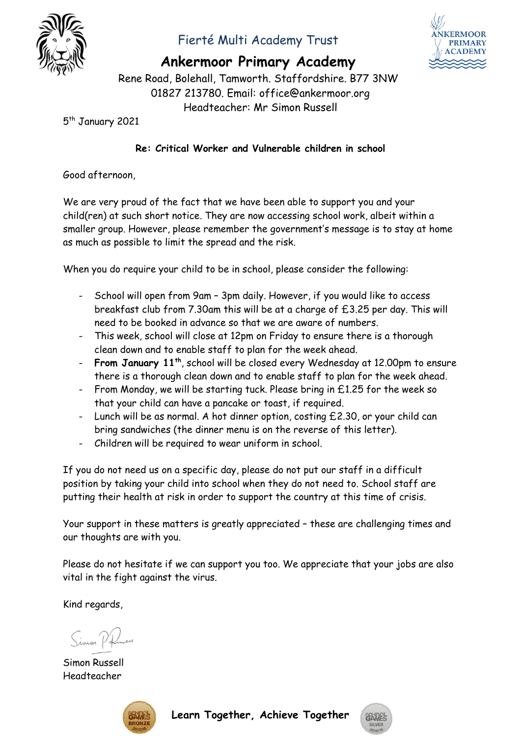

## Fierté Multi Academy Trust



**Ankermoor Primary Academy**

Rene Road, Bolehall, Tamworth. Staffordshire. B77 3NW 01827 213780. Email: office@ankermoor.org Headteacher: Mr Simon Russell

5<sup>th</sup> January 2021

## **Re: Critical Worker and Vulnerable children in school**

Good afternoon,

We are very proud of the fact that we have been able to support you and your child(ren) at such short notice. They are now accessing school work, albeit within a smaller group. However, please remember the government's message is to stay at home as much as possible to limit the spread and the risk.

When you do require your child to be in school, please consider the following:

- School will open from 9am 3pm daily. However, if you would like to access breakfast club from 7.30am this will be at a charge of £3.25 per day. This will need to be booked in advance so that we are aware of numbers.
- This week, school will close at 12pm on Friday to ensure there is a thorough clean down and to enable staff to plan for the week ahead.
- **From January 11th**, school will be closed every Wednesday at 12.00pm to ensure there is a thorough clean down and to enable staff to plan for the week ahead.
- From Monday, we will be starting tuck. Please bring in £1.25 for the week so that your child can have a pancake or toast, if required.
- Lunch will be as normal. A hot dinner option, costing £2.30, or your child can bring sandwiches (the dinner menu is on the reverse of this letter).
- Children will be required to wear uniform in school.

If you do not need us on a specific day, please do not put our staff in a difficult position by taking your child into school when they do not need to. School staff are putting their health at risk in order to support the country at this time of crisis.

Your support in these matters is greatly appreciated – these are challenging times and our thoughts are with you.

Please do not hesitate if we can support you too. We appreciate that your jobs are also vital in the fight against the virus.

Kind regards,

Simon Polmen

Simon Russell Headteacher



**Learn Together, Achieve Together**